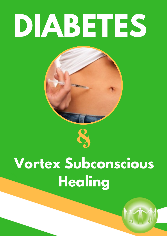# **DIABETES**



# **Vortex Subconscious Healing**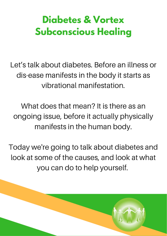# **Diabetes & Vortex Subconscious Healing**

Let's talk about diabetes. Before an illness or dis-ease manifests in the body it starts as vibrational manifestation.

What does that mean? It is there as an ongoing issue, before it actually physically manifests in the human body.

Today we're going to talk about diabetes and look at some of the causes, and look at what you can do to help yourself.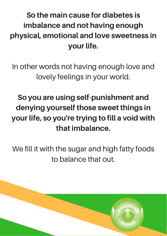## So the main cause for diabetes is imbalance and not having enough physical, emotional and love sweetness in your life.

In other words not having enough love and lovely feelings in your world.

## So you are using self-punishment and denying yourself those sweet things in your life, so you're trying to fill a void with that imbalance.

We fill it with the sugar and high fatty foods to balance that out.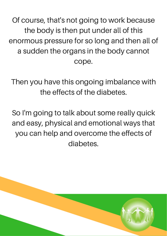Of course, that's not going to work because the body is then put under all of this enormous pressure for so long and then all of a sudden the organs in the body cannot cope.

Then you have this ongoing imbalance with the effects of the diabetes.

So I'm going to talk about some really quick and easy, physical and emotional ways that you can help and overcome the effects of diabetes.

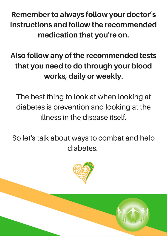Remember to always follow your doctor's instructions and follow the recommended medication that you're on.

Also follow any of the recommended tests that you need to do through your blood works, daily or weekly.

The best thing to look at when looking at diabetes is prevention and looking at the illness in the disease itself.

So let's talk about ways to combat and help diabetes.

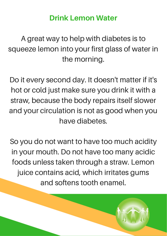#### Drink Lemon Water

A great way to help with diabetes is to squeeze lemon into your first glass of water in the morning.

Do it every second day. It doesn't matter if it's hot or cold just make sure you drink it with a straw, because the body repairs itself slower and your circulation is not as good when you have diabetes.

So you do not want to have too much acidity in your mouth. Do not have too many acidic foods unless taken through a straw. Lemon juice contains acid, which irritates gums and softens tooth enamel.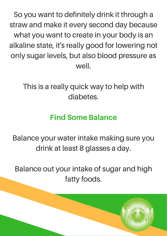So you want to definitely drink it through a straw and make it every second day because what you want to create in your body is an alkaline state, it's really good for lowering not only sugar levels, but also blood pressure as well.

This is a really quick way to help with diabetes.

#### Find Some Balance

Balance your water intake making sure you drink at least 8 glasses a day.

Balance out your intake of sugar and high fatty foods.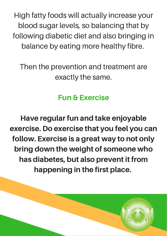High fatty foods will actually increase your blood sugar levels, so balancing that by following diabetic diet and also bringing in balance by eating more healthy fibre.

Then the prevention and treatment are exactly the same.

#### Fun & Exercise

Have regular fun and take enjoyable exercise. Do exercise that you feel you can follow. Exercise is a great way to not only bring down the weight of someone who has diabetes, but also prevent it from happening in the first place.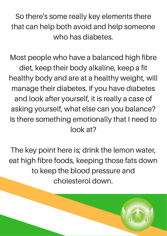So there's some really key elements there that can help both avoid and help someone who has diabetes.

Most people who have a balanced high fibre diet, keep their body alkaline, keep a fit healthy body and are at a healthy weight, will manage their diabetes. If you have diabetes and look after yourself, it is really a case of asking yourself, what else can you balance? Is there something emotionally that I need to look at?

The key point here is; drink the lemon water, eat high fibre foods, keeping those fats down to keep the blood pressure and cholesterol down.